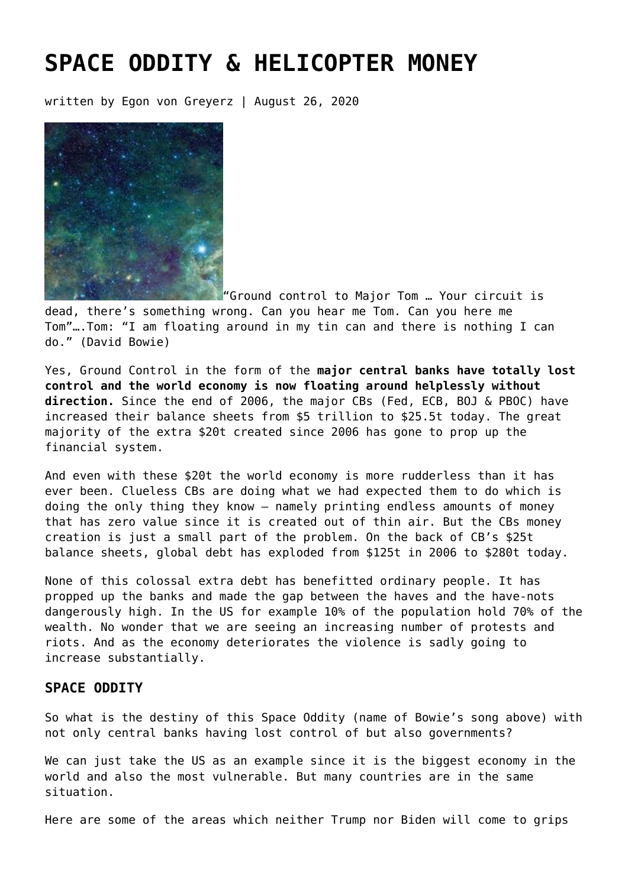# **[SPACE ODDITY & HELICOPTER MONEY](https://goldswitzerland.com/space-oddity-helicopter-money/)**

written by Egon von Greyerz | August 26, 2020



"Ground control to Major Tom … Your circuit is dead, there's something wrong. Can you hear me Tom. Can you here me Tom"….Tom: "I am floating around in my tin can and there is nothing I can do." (David Bowie)

Yes, Ground Control in the form of the **major central banks have totally lost control and the world economy is now floating around helplessly without direction.** Since the end of 2006, the major CBs (Fed, ECB, BOJ & PBOC) have increased their balance sheets from \$5 trillion to \$25.5t today. The great majority of the extra \$20t created since 2006 has gone to prop up the financial system.

And even with these \$20t the world economy is more rudderless than it has ever been. Clueless CBs are doing what we had expected them to do which is doing the only thing they know – namely printing endless amounts of money that has zero value since it is created out of thin air. But the CBs money creation is just a small part of the problem. On the back of CB's \$25t balance sheets, global debt has exploded from \$125t in 2006 to \$280t today.

None of this colossal extra debt has benefitted ordinary people. It has propped up the banks and made the gap between the haves and the have-nots dangerously high. In the US for example 10% of the population hold 70% of the wealth. No wonder that we are seeing an increasing number of protests and riots. And as the economy deteriorates the violence is sadly going to increase substantially.

# **SPACE ODDITY**

So what is the destiny of this Space Oddity (name of Bowie's song above) with not only central banks having lost control of but also governments?

We can just take the US as an example since it is the biggest economy in the world and also the most vulnerable. But many countries are in the same situation.

Here are some of the areas which neither Trump nor Biden will come to grips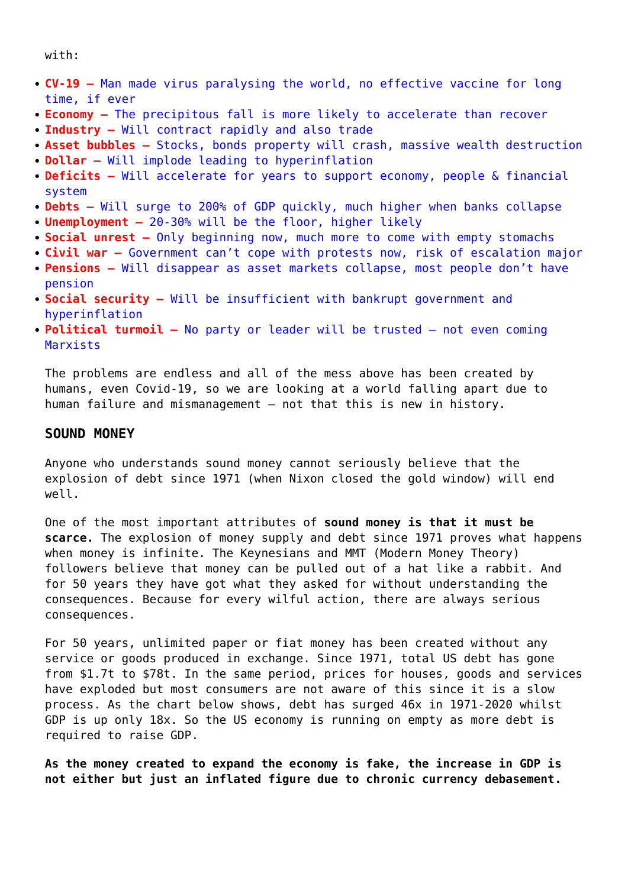with:

- **CV-19 –** Man made virus paralysing the world, no effective vaccine for long time, if ever
- **Economy –** The precipitous fall is more likely to accelerate than recover
- **Industry –** Will contract rapidly and also trade
- **Asset bubbles –** Stocks, bonds property will crash, massive wealth destruction
- **Dollar –** Will implode leading to hyperinflation
- **Deficits –** Will accelerate for years to support economy, people & financial system
- **Debts –** Will surge to 200% of GDP quickly, much higher when banks collapse
- **Unemployment –** 20-30% will be the floor, higher likely
- **Social unrest –** Only beginning now, much more to come with empty stomachs
- **Civil war –** Government can't cope with protests now, risk of escalation major
- **Pensions –** Will disappear as asset markets collapse, most people don't have pension
- **Social security –** Will be insufficient with bankrupt government and hyperinflation
- **Political turmoil –** No party or leader will be trusted not even coming Marxists

The problems are endless and all of the mess above has been created by humans, even Covid-19, so we are looking at a world falling apart due to human failure and mismanagement – not that this is new in history.

## **SOUND MONEY**

Anyone who understands sound money cannot seriously believe that the explosion of debt since 1971 (when Nixon closed the gold window) will end well.

One of the most important attributes of **sound money is that it must be scarce.** The explosion of money supply and debt since 1971 proves what happens when money is infinite. The Keynesians and MMT (Modern Money Theory) followers believe that money can be pulled out of a hat like a rabbit. And for 50 years they have got what they asked for without understanding the consequences. Because for every wilful action, there are always serious consequences.

For 50 years, unlimited paper or fiat money has been created without any service or goods produced in exchange. Since 1971, total US debt has gone from \$1.7t to \$78t. In the same period, prices for houses, goods and services have exploded but most consumers are not aware of this since it is a slow process. As the chart below shows, debt has surged 46x in 1971-2020 whilst GDP is up only 18x. So the US economy is running on empty as more debt is required to raise GDP.

**As the money created to expand the economy is fake, the increase in GDP is not either but just an inflated figure due to chronic currency debasement.**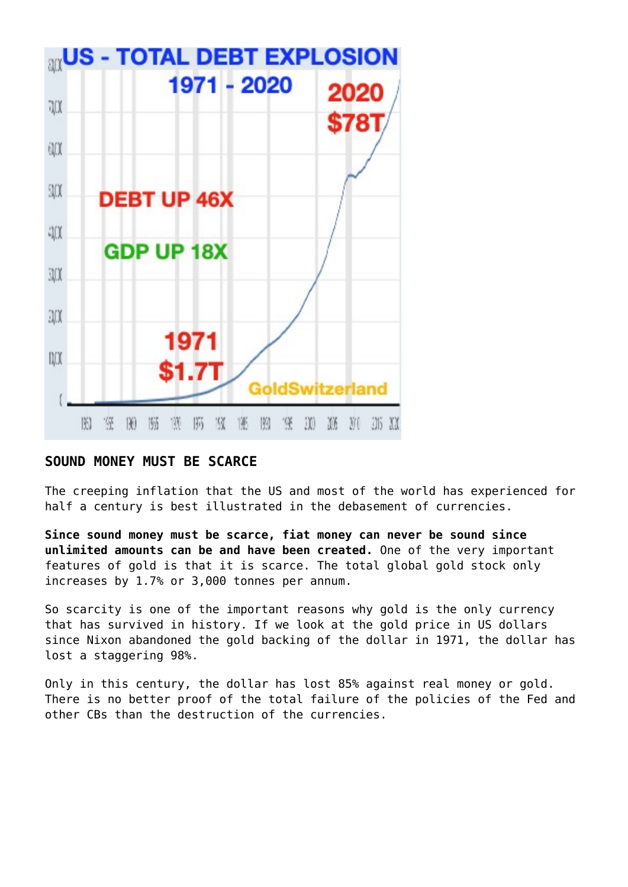

# **SOUND MONEY MUST BE SCARCE**

The creeping inflation that the US and most of the world has experienced for half a century is best illustrated in the debasement of currencies.

**Since sound money must be scarce, fiat money can never be sound since unlimited amounts can be and have been created.** One of the very important features of gold is that it is scarce. The total global gold stock only increases by 1.7% or 3,000 tonnes per annum.

So scarcity is one of the important reasons why gold is the only currency that has survived in history. If we look at the gold price in US dollars since Nixon abandoned the gold backing of the dollar in 1971, the dollar has lost a staggering 98%.

Only in this century, the dollar has lost 85% against real money or gold. There is no better proof of the total failure of the policies of the Fed and other CBs than the destruction of the currencies.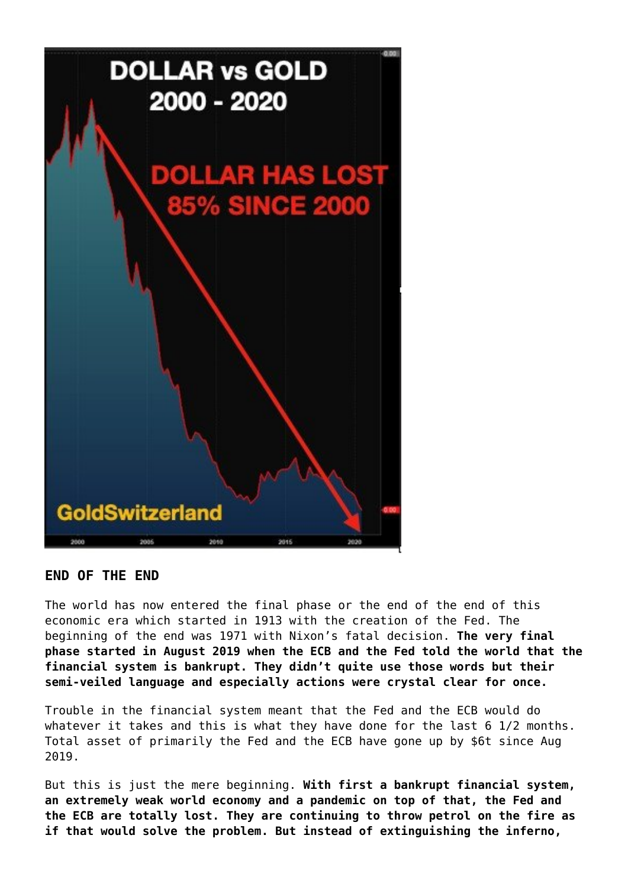

## **END OF THE END**

The world has now entered the final phase or the end of the end of this economic era which started in 1913 with the creation of the Fed. The beginning of the end was 1971 with Nixon's fatal decision. **The very final phase started in August 2019 when the ECB and the Fed told the world that the financial system is bankrupt. They didn't quite use those words but their semi-veiled language and especially actions were crystal clear for once.**

Trouble in the financial system meant that the Fed and the ECB would do whatever it takes and this is what they have done for the last 6 1/2 months. Total asset of primarily the Fed and the ECB have gone up by \$6t since Aug 2019.

But this is just the mere beginning. **With first a bankrupt financial system, an extremely weak world economy and a pandemic on top of that, the Fed and the ECB are totally lost. They are continuing to throw petrol on the fire as if that would solve the problem. But instead of extinguishing the inferno,**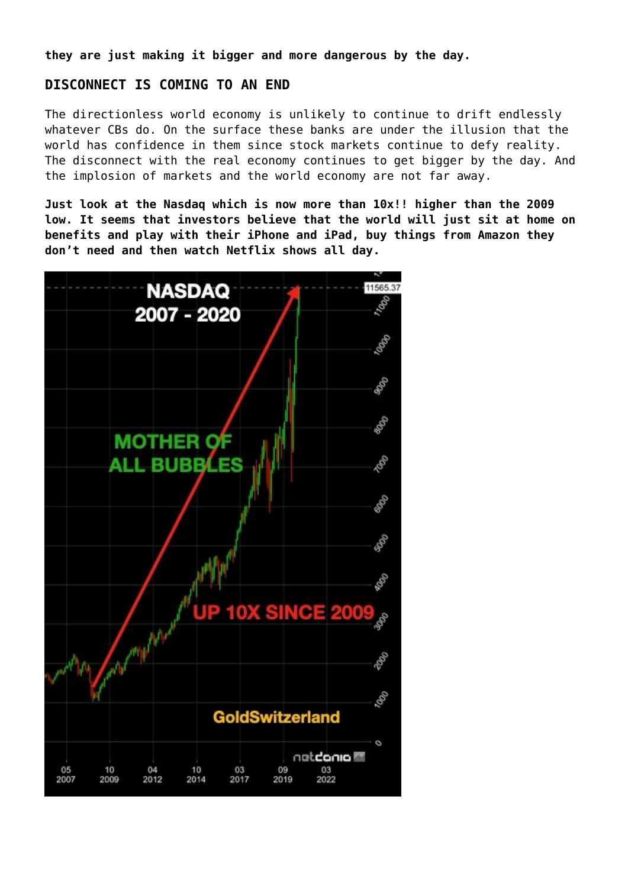**they are just making it bigger and more dangerous by the day.**

## **DISCONNECT IS COMING TO AN END**

The directionless world economy is unlikely to continue to drift endlessly whatever CBs do. On the surface these banks are under the illusion that the world has confidence in them since stock markets continue to defy reality. The disconnect with the real economy continues to get bigger by the day. And the implosion of markets and the world economy are not far away.

**Just look at the Nasdaq which is now more than 10x!! higher than the 2009 low. It seems that investors believe that the world will just sit at home on benefits and play with their iPhone and iPad, buy things from Amazon they don't need and then watch Netflix shows all day.**

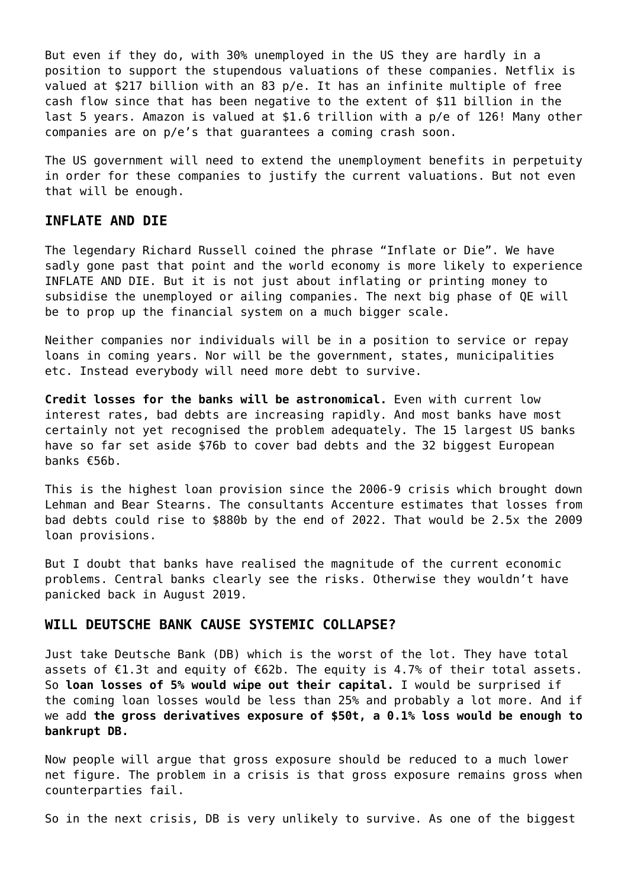But even if they do, with 30% unemployed in the US they are hardly in a position to support the stupendous valuations of these companies. Netflix is valued at \$217 billion with an 83 p/e. It has an infinite multiple of free cash flow since that has been negative to the extent of \$11 billion in the last 5 years. Amazon is valued at \$1.6 trillion with a p/e of 126! Many other companies are on p/e's that guarantees a coming crash soon.

The US government will need to extend the unemployment benefits in perpetuity in order for these companies to justify the current valuations. But not even that will be enough.

### **INFLATE AND DIE**

The legendary Richard Russell coined the phrase "Inflate or Die". We have sadly gone past that point and the world economy is more likely to experience INFLATE AND DIE. But it is not just about inflating or printing money to subsidise the unemployed or ailing companies. The next big phase of QE will be to prop up the financial system on a much bigger scale.

Neither companies nor individuals will be in a position to service or repay loans in coming years. Nor will be the government, states, municipalities etc. Instead everybody will need more debt to survive.

**Credit losses for the banks will be astronomical.** Even with current low interest rates, bad debts are increasing rapidly. And most banks have most certainly not yet recognised the problem adequately. The 15 largest US banks have so far set aside \$76b to cover bad debts and the 32 biggest European banks €56b.

This is the highest loan provision since the 2006-9 crisis which brought down Lehman and Bear Stearns. The consultants Accenture estimates that losses from bad debts could rise to \$880b by the end of 2022. That would be 2.5x the 2009 loan provisions.

But I doubt that banks have realised the magnitude of the current economic problems. Central banks clearly see the risks. Otherwise they wouldn't have panicked back in August 2019.

#### **WILL DEUTSCHE BANK CAUSE SYSTEMIC COLLAPSE?**

Just take Deutsche Bank (DB) which is the worst of the lot. They have total assets of  $E1.3t$  and equity of  $E62b$ . The equity is 4.7% of their total assets. So **loan losses of 5% would wipe out their capital.** I would be surprised if the coming loan losses would be less than 25% and probably a lot more. And if we add **the gross derivatives exposure of \$50t, a 0.1% loss would be enough to bankrupt DB.**

Now people will argue that gross exposure should be reduced to a much lower net figure. The problem in a crisis is that gross exposure remains gross when counterparties fail.

So in the next crisis, DB is very unlikely to survive. As one of the biggest